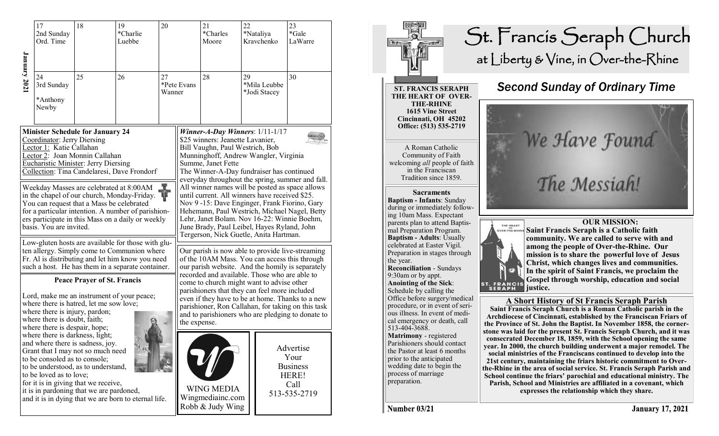|                                                                                                                                                                                                                                                                                                                                                                                                                                                                                                                                                                                                                                                                                                                                                             | 17<br>2nd Sunday<br>Ord. Time         | 18                                                                                                                                                                                                                                                                                                                                                      | 19<br>*Charlie<br>Luebbe | 20           |             | 21<br>*Charles<br>Moore                                                                                                                                                                                                                                                                                                                                                                                                                                                                                                                                                                                                                                                                                                                                                         | 23<br>22<br>*Gale<br>*Nataliya<br>Kravchenko |                              | LaWarre                                                               |  |
|-------------------------------------------------------------------------------------------------------------------------------------------------------------------------------------------------------------------------------------------------------------------------------------------------------------------------------------------------------------------------------------------------------------------------------------------------------------------------------------------------------------------------------------------------------------------------------------------------------------------------------------------------------------------------------------------------------------------------------------------------------------|---------------------------------------|---------------------------------------------------------------------------------------------------------------------------------------------------------------------------------------------------------------------------------------------------------------------------------------------------------------------------------------------------------|--------------------------|--------------|-------------|---------------------------------------------------------------------------------------------------------------------------------------------------------------------------------------------------------------------------------------------------------------------------------------------------------------------------------------------------------------------------------------------------------------------------------------------------------------------------------------------------------------------------------------------------------------------------------------------------------------------------------------------------------------------------------------------------------------------------------------------------------------------------------|----------------------------------------------|------------------------------|-----------------------------------------------------------------------|--|
| January 2021                                                                                                                                                                                                                                                                                                                                                                                                                                                                                                                                                                                                                                                                                                                                                | 24<br>3rd Sunday<br>*Anthony<br>Newby | 25                                                                                                                                                                                                                                                                                                                                                      | 26                       | 27<br>Wanner | *Pete Evans | 28                                                                                                                                                                                                                                                                                                                                                                                                                                                                                                                                                                                                                                                                                                                                                                              | 29                                           | *Mila Leubbe<br>*Jodi Stacey | 30                                                                    |  |
| <b>Minister Schedule for January 24</b><br>Coordinator: Jerry Diersing<br>Lector 1: Katie Callahan<br>Lector 2: Joan Monnin Callahan<br><b>Eucharistic Minister: Jerry Diersing</b><br>Collection: Tina Candelaresi, Dave Frondorf<br>Weekday Masses are celebrated at 8:00AM<br><b>K</b><br>4 <sup>p</sup><br>in the chapel of our church, Monday-Friday.<br>You can request that a Mass be celebrated<br>for a particular intention. A number of parishion-<br>ers participate in this Mass on a daily or weekly<br>basis. You are invited.<br>Low-gluten hosts are available for those with glu-<br>ten allergy. Simply come to Communion where<br>Fr. Al is distributing and let him know you need<br>such a host. He has them in a separate container. |                                       |                                                                                                                                                                                                                                                                                                                                                         |                          |              |             | Winner-A-Day Winners: $1/11-1/17$<br>\$25 winners: Jeanette Lavanier,<br>Bill Vaughn, Paul Westrich, Bob<br>Munninghoff, Andrew Wangler, Virginia<br>Summe, Janet Fette<br>The Winner-A-Day fundraiser has continued<br>everyday throughout the spring, summer and fall.<br>All winner names will be posted as space allows<br>until current. All winners have received \$25.<br>Nov 9-15: Dave Enginger, Frank Fiorino, Gary<br>Hehemann, Paul Westrich, Michael Nagel, Betty<br>Lehr, Janet Bolam. Nov 16-22: Winnie Boehm,<br>June Brady, Paul Leibel, Hayes Ryland, John<br>Tergerson, Nick Guetle, Anita Hartman.<br>Our parish is now able to provide live-streaming<br>of the 10AM Mass. You can access this through<br>our parish website. And the homily is separately |                                              |                              |                                                                       |  |
|                                                                                                                                                                                                                                                                                                                                                                                                                                                                                                                                                                                                                                                                                                                                                             |                                       |                                                                                                                                                                                                                                                                                                                                                         |                          |              |             |                                                                                                                                                                                                                                                                                                                                                                                                                                                                                                                                                                                                                                                                                                                                                                                 |                                              |                              |                                                                       |  |
|                                                                                                                                                                                                                                                                                                                                                                                                                                                                                                                                                                                                                                                                                                                                                             |                                       | where there is darkness, light;<br>and where there is sadness, joy.<br>Grant that I may not so much need<br>to be consoled as to console;<br>to be understood, as to understand,<br>to be loved as to love;<br>for it is in giving that we receive,<br>it is in pardoning that we are pardoned,<br>and it is in dying that we are born to eternal life. |                          |              |             | <b>WING MEDIA</b><br>Wingmediainc.com<br>Robb & Judy Wing                                                                                                                                                                                                                                                                                                                                                                                                                                                                                                                                                                                                                                                                                                                       |                                              |                              | Advertise<br>Your<br><b>Business</b><br>HERE!<br>Call<br>513-535-2719 |  |